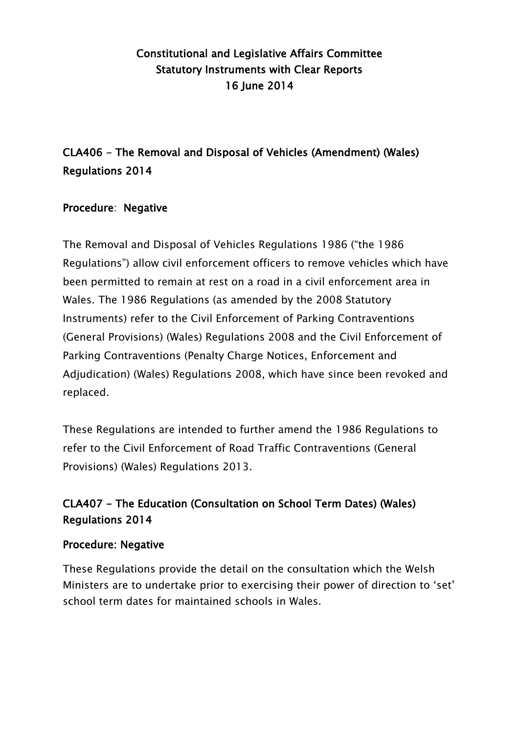## Constitutional and Legislative Affairs Committee Statutory Instruments with Clear Reports 16 June 2014

# CLA406 - The Removal and Disposal of Vehicles (Amendment) (Wales) Regulations 2014

### Procedure: Negative

The Removal and Disposal of Vehicles Regulations 1986 ("the 1986 Regulations") allow civil enforcement officers to remove vehicles which have been permitted to remain at rest on a road in a civil enforcement area in Wales. The 1986 Regulations (as amended by the 2008 Statutory Instruments) refer to the Civil Enforcement of Parking Contraventions (General Provisions) (Wales) Regulations 2008 and the Civil Enforcement of Parking Contraventions (Penalty Charge Notices, Enforcement and Adjudication) (Wales) Regulations 2008, which have since been revoked and replaced.

These Regulations are intended to further amend the 1986 Regulations to refer to the Civil Enforcement of Road Traffic Contraventions (General Provisions) (Wales) Regulations 2013.

## CLA407 - The Education (Consultation on School Term Dates) (Wales) Regulations 2014

#### Procedure: Negative

These Regulations provide the detail on the consultation which the Welsh Ministers are to undertake prior to exercising their power of direction to "set" school term dates for maintained schools in Wales.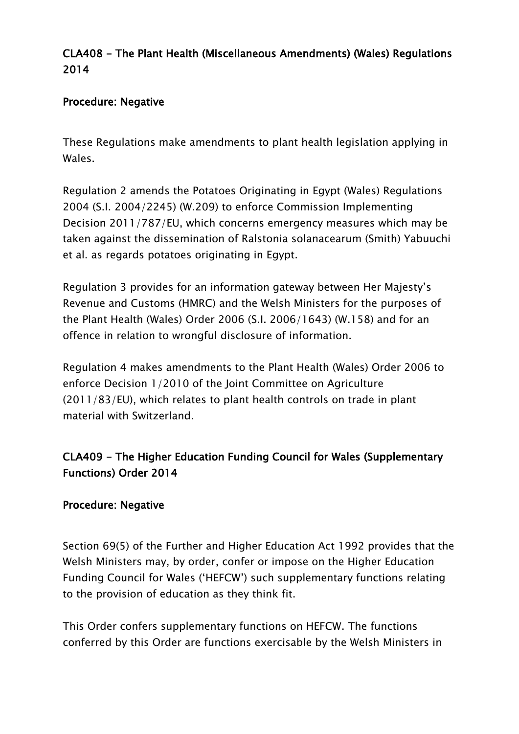### CLA408 - The Plant Health (Miscellaneous Amendments) (Wales) Regulations 2014

### Procedure: Negative

These Regulations make amendments to plant health legislation applying in Wales.

Regulation 2 amends the Potatoes Originating in Egypt (Wales) Regulations 2004 (S.I. 2004/2245) (W.209) to enforce Commission Implementing Decision 2011/787/EU, which concerns emergency measures which may be taken against the dissemination of Ralstonia solanacearum (Smith) Yabuuchi et al. as regards potatoes originating in Egypt.

Regulation 3 provides for an information gateway between Her Majesty"s Revenue and Customs (HMRC) and the Welsh Ministers for the purposes of the Plant Health (Wales) Order 2006 (S.I. 2006/1643) (W.158) and for an offence in relation to wrongful disclosure of information.

Regulation 4 makes amendments to the Plant Health (Wales) Order 2006 to enforce Decision 1/2010 of the Joint Committee on Agriculture (2011/83/EU), which relates to plant health controls on trade in plant material with Switzerland.

## CLA409 - The Higher Education Funding Council for Wales (Supplementary Functions) Order 2014

### Procedure: Negative

Section 69(5) of the Further and Higher Education Act 1992 provides that the Welsh Ministers may, by order, confer or impose on the Higher Education Funding Council for Wales ("HEFCW") such supplementary functions relating to the provision of education as they think fit.

This Order confers supplementary functions on HEFCW. The functions conferred by this Order are functions exercisable by the Welsh Ministers in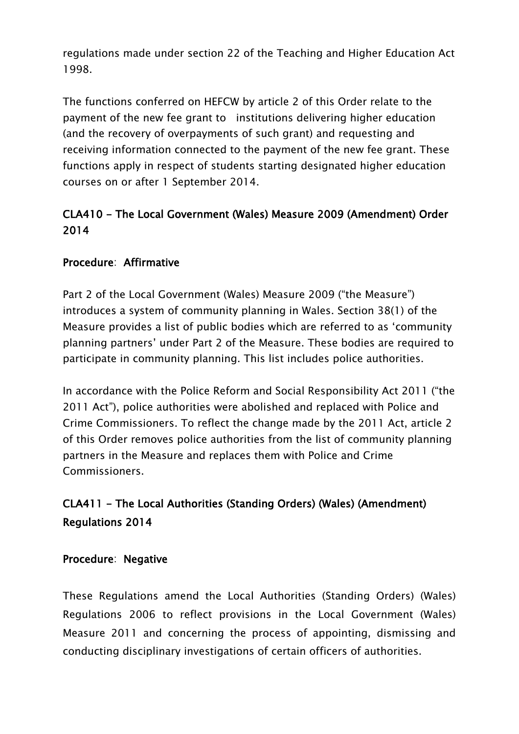regulations made under section 22 of the Teaching and Higher Education Act 1998.

The functions conferred on HEFCW by article 2 of this Order relate to the payment of the new fee grant to institutions delivering higher education (and the recovery of overpayments of such grant) and requesting and receiving information connected to the payment of the new fee grant. These functions apply in respect of students starting designated higher education courses on or after 1 September 2014.

## CLA410 - The Local Government (Wales) Measure 2009 (Amendment) Order 2014

### Procedure: Affirmative

Part 2 of the Local Government (Wales) Measure 2009 ("the Measure") introduces a system of community planning in Wales. Section 38(1) of the Measure provides a list of public bodies which are referred to as "community planning partners" under Part 2 of the Measure. These bodies are required to participate in community planning. This list includes police authorities.

In accordance with the Police Reform and Social Responsibility Act 2011 ("the 2011 Act"), police authorities were abolished and replaced with Police and Crime Commissioners. To reflect the change made by the 2011 Act, article 2 of this Order removes police authorities from the list of community planning partners in the Measure and replaces them with Police and Crime Commissioners.

# CLA411 - The Local Authorities (Standing Orders) (Wales) (Amendment) Regulations 2014

#### Procedure: Negative

These Regulations amend the Local Authorities (Standing Orders) (Wales) Regulations 2006 to reflect provisions in the Local Government (Wales) Measure 2011 and concerning the process of appointing, dismissing and conducting disciplinary investigations of certain officers of authorities.